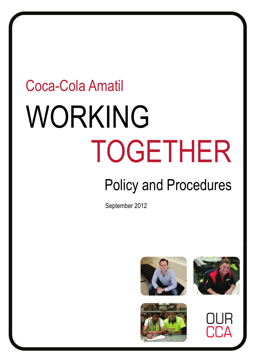# WORKING TOGETHER Coca-Cola Amatil

## Policy and Procedures

September 2012





 $\mathsf{L}^1 \mathsf{\Omega}$ 

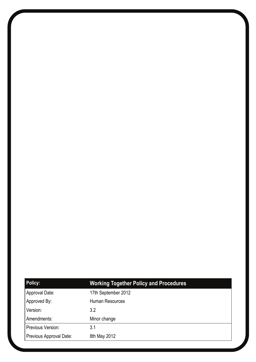| <b>Policy:</b>          | <b>Working Together Policy and Procedures</b> |
|-------------------------|-----------------------------------------------|
| Approval Date:          | 17th September 2012                           |
| Approved By:            | <b>Human Resources</b>                        |
| Version:                | 3.2                                           |
| Amendments:             | Minor change                                  |
| Previous Version:       | 3.1                                           |
| Previous Approval Date: | 8th May 2012                                  |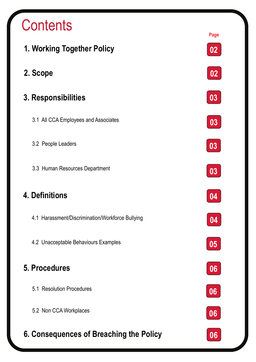### **Contents**

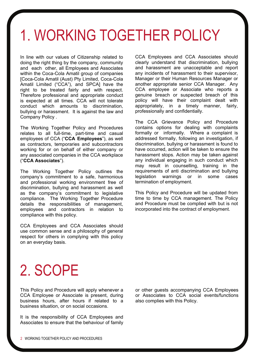### 1. WORKING TOGETHER POLICY

In line with our values of Citizenship related to doing the right thing by the company, community and each other, all Employees and Associates within the Coca-Cola Amatil group of companies [Coca-Cola Amatil (Aust) Pty Limited, Coca-Cola Amatil Limited ("CCA"), and SPCA] have the right to be treated fairly and with respect. Therefore professional and appropriate conduct is expected at all times. CCA will not tolerate conduct which amounts to discrimination, bullying or harassment. It is against the law and Company Policy .

The Working Together Policy and Procedures relates to all full-time, part-time and casual employees of CCA ("**CCA Employees**"), as well as contractors, temporaries and subcontractors working for or on behalf of either company or any associated companies in the CCA workplace ("**CCA Associates**").

The Working Together Policy outlines the company's commitment to a safe, harmonious and professional working environment free of discrimination, bullying and harassment as well as the company's commitment to legislative compliance. The Working Together Procedure details the responsibilities of management, employees and contractors in relation to compliance with this policy.

CCA Employees and CCA Associates should use common sense and a philosophy of general respect for others in complying with this policy on an everyday basis.

CCA Employees and CCA Associates should clearly understand that discrimination, bullying and harassment are unacceptable and report any incidents of harassment to their supervisor, Manager or their Human Resources Manager or another appropriate senior CCA Manager. Any CCA employee or Associate who reports a genuine breach or suspected breach of this policy will have their complaint dealt with appropriately, in a timely manner, fairly, professionally and confidentially.

The CCA Grievance Policy and Procedure contains options for dealing with complaints formally or informally. Where a complaint is addressed formally, following an investigation, if discrimination, bullying or harassment is found to have occurred, action will be taken to ensure the harassment stops. Action may be taken against any individual engaging in such conduct which may result in counselling, training in the requirements of anti discrimination and bullying legislation warnings or in some cases termination of employment.

This Policy and Procedure will be updated from time to time by CCA management. The Policy and Procedure must be complied with but is not incorporated into the contract of employment.

### 2. SCOPE

This Policy and Procedure will apply whenever a CCA Employee or Associate is present, during business hours, after hours if related to a business situation, or on social occasions.

It is the responsibility of CCA Employees and Associates to ensure that the behaviour of family or other guests accompanying CCA Employees or Associates to CCA social events/functions also complies with this Policy.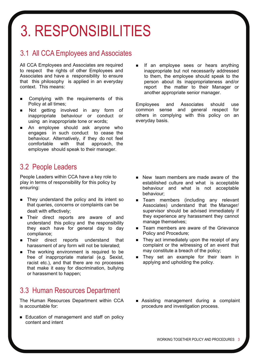### 3. RESPONSIBILITIES

#### 3.1 All CCA Employees and Associates

All CCA Employees and Associates are required to respect the rights of other Employees and Associates and have a responsibility to ensure that this philosophy is applied in an everyday context. This means:

- Complying with the requirements of this Policy at all times;
- Not getting involved in any form of inappropriate behaviour or conduct or using an inappropriate tone or words;
- An employee should ask anyone who engages in such conduct to cease the behaviour. Alternatively, if they do not feel comfortable with that approach, the employee should speak to their manager.

#### 3.2 People Leaders

People Leaders within CCA have a key role to play in terms of responsibility for this policy by ensuring:

- They understand the policy and its intent so that queries, concerns or complaints can be dealt with effectively;
- **n** Their direct reports are aware of and understand this policy and the responsibility they each have for general day to day compliance;
- Their direct reports understand that harassment of any form will not be tolerated;
- The working environment is required to be free of inappropriate material (e.g. Sexist, racist etc.), and that there are no processes that make it easy for discrimination, bullying or harassment to happen;

#### 3.3 Human Resources Department

The Human Resources Department within CCA is accountable for:

Education of management and staff on policy content and intent

 If an employee sees or hears anything inappropriate but not necessarily addressed to them, the employee should speak to the person about its inappropriateness and/or report the matter to their Manager or another appropriate senior manager.

Employees and Associates should use common sense and general respect for others in complying with this policy on an everyday basis.

- New team members are made aware of the established culture and what is acceptable behaviour and what is not acceptable behaviour;
- **Team members (including any relevant** Associates) understand that the Manager/ supervisor should be advised immediately if they experience any harassment they cannot manage themselves;
- Team members are aware of the Grievance Policy and Procedure;
- $\blacksquare$  They act immediately upon the receipt of any complaint or the witnessing of an event that may constitute a breach of the policy;
- They set an example for their team in applying and upholding the policy.
- Assisting management during a complaint procedure and investigation process.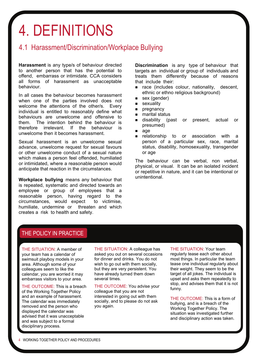### 4. DEFINITIONS

#### 4.1 Harassment/Discrimination/Workplace Bullying

**Harassment** is any type/s of behaviour directed to another person that has the potential to offend, embarrass or intimidate. CCA considers all forms of harassment as unacceptable behaviour.

In all cases the behaviour becomes harassment when one of the parties involved does not welcome the attentions of the other/s. Every individual is entitled to reasonably define what behaviours are unwelcome and offensive to them. The intention behind the behaviour is therefore irrelevant. If the behaviour is unwelcome then it becomes harassment.

Sexual harassment is an unwelcome sexual advance, unwelcome request for sexual favours or other unwelcome conduct of a sexual nature which makes a person feel offended, humiliated or intimidated, where a reasonable person would anticipate that reaction in the circumstances.

**Workplace bullying** means any behaviour that is repeated, systematic and directed towards an employee or group of employees that a reasonable person, having regard to the circumstances, would expect to victimise, humiliate, undermine or threaten and which creates a risk to health and safety.

**Discrimination** is any type of behaviour that targets an individual or group of individuals and treats them differently because of reasons that include their:

- nace (includes colour, nationality, descent. ethnic or ethno religious background)
- sex (gender)
- **sexuality**
- **pregnancy**
- marital status
- **disability** (past or present, actual or presumed)
- age
- relationship to or association with a person of a particular sex, race, marital status, disability, homosexuality, transgender or age

The behaviour can be verbal, non verbal, physical, or visual. It can be an isolated incident or repetitive in nature, and it can be intentional or unintentional.

#### THE POLICY IN PRACTICE

THE SITUATION: A member of your team has a calendar of swimsuit playboy models in your area. Although some of your colleagues seem to like the calendar, you are worried it may embarrass visitors to your area.

THE OUTCOME: This is a breach of the Working Together Policy and an example of harassment. The calendar was immediately removed and the person who displayed the calendar was advised that it was unacceptable and was subject to a formal disciplinary process.

THE SITUATION: A colleague has asked you out on several occasions for dinner and drinks. You do not wish to go out with them socially, but they are very persistent. You have already turned them down several times.

THE OUTCOME: You advise your colleague that you are not interested in going out with them socially, and to please do not ask you again.

THE SITUATION: Your team regularly tease each other about most things. In particular the team tease one individual regularly about their weight. They seem to be the target of all jokes. The individual is upset and asks them repeatedly to stop, and advises them that it is not funny.

THE OUTCOME: This is a form of bullying, and is a breach of the Working Together Policy. The situation was investigated further and disciplinary action was taken.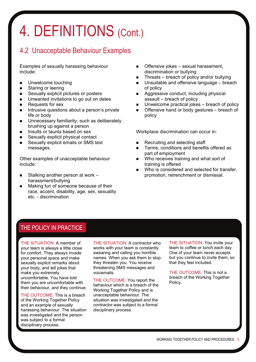### 4. DEFINITIONS (Cont.)

#### 4.2 Unacceptable Behaviour Examples

Examples of sexually harassing behaviour include:

- **Unwelcome touching**
- **Staring or leering**
- Sexually explicit pictures or posters
- **Unwanted invitations to go out on dates**
- $\blacksquare$  Requests for sex
- $\blacksquare$  Intrusive questions about a person's private life or body
- **Unnecessary familiarity, such as deliberately** brushing up against a person
- **Insults or taunts based on sex**
- Sexually explicit physical contact
- Sexually explicit emails or SMS text messages.

Other examples of unacceptable behaviour include:

- Stalking another person at work harassment/bullying
- Making fun of someone because of their race, accent, disability, age, sex, sexuality etc. - discrimination
- Offensive jokes sexual harassment, discrimination or bullying
- Threats breach of policy and/or bullying
- Unsuitable and offensive language breach of policy
- Aggressive conduct, including physical assault – breach of policy
- Unwelcome practical jokes breach of policy
- Offensive hand or body gestures breach of policy

Workplace discrimination can occur in:

- Recruiting and selecting staff
- **Terms, conditions and benefits offered as** part of employment
- Who receives training and what sort of training is offered
- Who is considered and selected for transfer, promotion, retrenchment or dismissal.

#### THE POLICY IN PRACTICE

THE SITUATION: A member of your team is always a little close for comfort. They always invade your personal space and make sexually explicit remarks about your body, and tell jokes that make you extremely uncomfortable. You have told them you are uncomfortable with their behaviour, and they continue.

THE OUTCOME: This is a breach of the Working Together Policy and an example of sexually harassing behaviour. The situation was investigated and the person was subject to a formal disciplinary process.

THE SITUATION: A contractor who works with your team is constantly swearing and calling you horrible names. When you ask them to stop they threaten you. You receive threatening SMS messages and voicemails

THE OUTCOME: You report the behaviour which is a breach of the Working Together Policy and is unacceptable behaviour. The situation was investigated and the contractor was subject to a formal disciplinary process.

THE SITUATION: You invite your team to coffee or lunch each day. One of your team never accepts but you continue to invite them, so that they feel included.

THE OUTCOME: This is not a breach of the Working Together Policy.